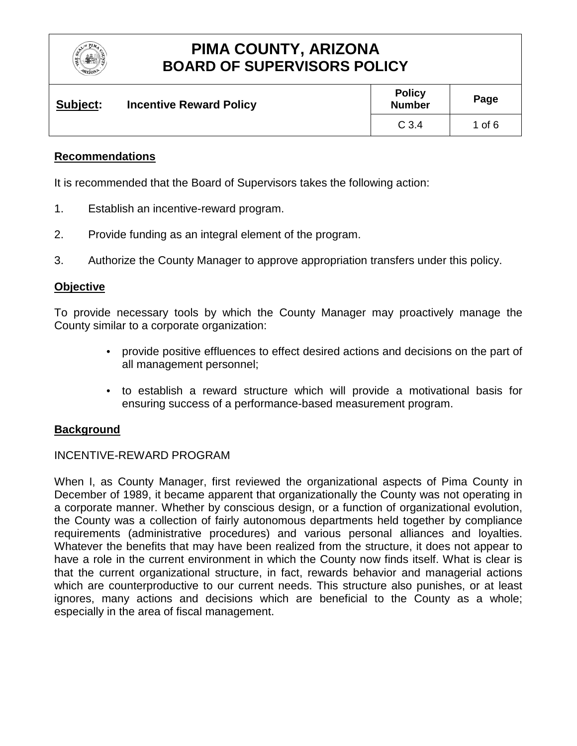

| Subject: | <b>Incentive Reward Policy</b> | <b>Policy</b><br><b>Number</b> | Page     |
|----------|--------------------------------|--------------------------------|----------|
|          |                                | C <sub>3.4</sub>               | 1 of $6$ |

### **Recommendations**

It is recommended that the Board of Supervisors takes the following action:

- 1. Establish an incentive-reward program.
- 2. Provide funding as an integral element of the program.
- 3. Authorize the County Manager to approve appropriation transfers under this policy.

### **Objective**

To provide necessary tools by which the County Manager may proactively manage the County similar to a corporate organization:

- provide positive effluences to effect desired actions and decisions on the part of all management personnel;
- to establish a reward structure which will provide a motivational basis for ensuring success of a performance-based measurement program.

### **Background**

### INCENTIVE-REWARD PROGRAM

When I, as County Manager, first reviewed the organizational aspects of Pima County in December of 1989, it became apparent that organizationally the County was not operating in a corporate manner. Whether by conscious design, or a function of organizational evolution, the County was a collection of fairly autonomous departments held together by compliance requirements (administrative procedures) and various personal alliances and loyalties. Whatever the benefits that may have been realized from the structure, it does not appear to have a role in the current environment in which the County now finds itself. What is clear is that the current organizational structure, in fact, rewards behavior and managerial actions which are counterproductive to our current needs. This structure also punishes, or at least ignores, many actions and decisions which are beneficial to the County as a whole; especially in the area of fiscal management.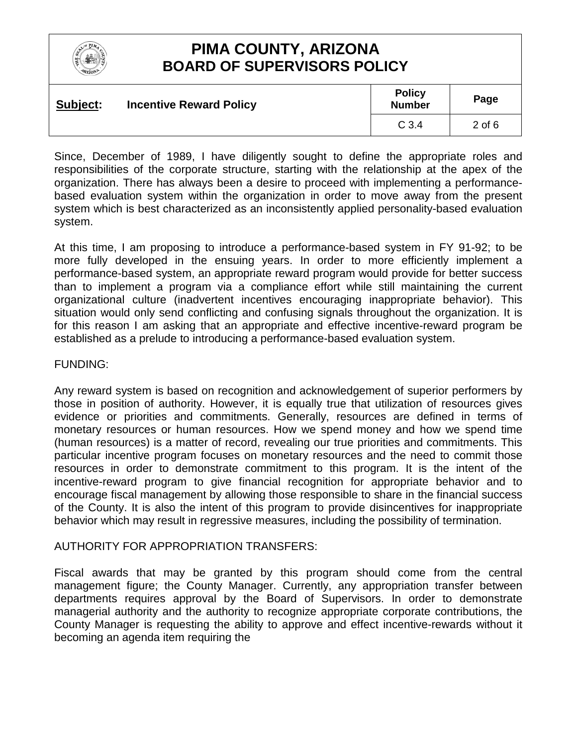

| Subject: | <b>Incentive Reward Policy</b> | <b>Policy</b><br><b>Number</b> | Page     |
|----------|--------------------------------|--------------------------------|----------|
|          |                                | C <sub>3.4</sub>               | $2$ of 6 |

Since, December of 1989, I have diligently sought to define the appropriate roles and responsibilities of the corporate structure, starting with the relationship at the apex of the organization. There has always been a desire to proceed with implementing a performancebased evaluation system within the organization in order to move away from the present system which is best characterized as an inconsistently applied personality-based evaluation system.

At this time, I am proposing to introduce a performance-based system in FY 91-92; to be more fully developed in the ensuing years. In order to more efficiently implement a performance-based system, an appropriate reward program would provide for better success than to implement a program via a compliance effort while still maintaining the current organizational culture (inadvertent incentives encouraging inappropriate behavior). This situation would only send conflicting and confusing signals throughout the organization. It is for this reason I am asking that an appropriate and effective incentive-reward program be established as a prelude to introducing a performance-based evaluation system.

### FUNDING:

Any reward system is based on recognition and acknowledgement of superior performers by those in position of authority. However, it is equally true that utilization of resources gives evidence or priorities and commitments. Generally, resources are defined in terms of monetary resources or human resources. How we spend money and how we spend time (human resources) is a matter of record, revealing our true priorities and commitments. This particular incentive program focuses on monetary resources and the need to commit those resources in order to demonstrate commitment to this program. It is the intent of the incentive-reward program to give financial recognition for appropriate behavior and to encourage fiscal management by allowing those responsible to share in the financial success of the County. It is also the intent of this program to provide disincentives for inappropriate behavior which may result in regressive measures, including the possibility of termination.

### AUTHORITY FOR APPROPRIATION TRANSFERS:

Fiscal awards that may be granted by this program should come from the central management figure; the County Manager. Currently, any appropriation transfer between departments requires approval by the Board of Supervisors. In order to demonstrate managerial authority and the authority to recognize appropriate corporate contributions, the County Manager is requesting the ability to approve and effect incentive-rewards without it becoming an agenda item requiring the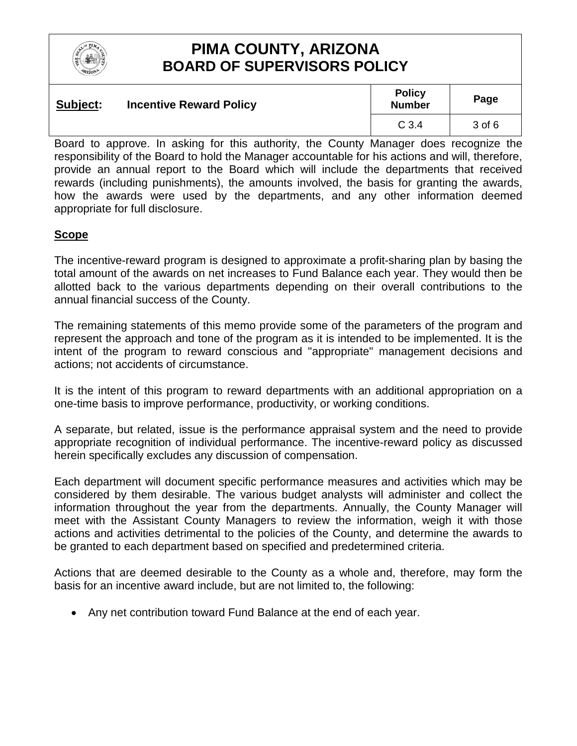

| Subject: | <b>Incentive Reward Policy</b> | <b>Policy</b><br><b>Number</b> | Page   |
|----------|--------------------------------|--------------------------------|--------|
|          |                                | C <sub>3.4</sub>               | 3 of 6 |

Board to approve. In asking for this authority, the County Manager does recognize the responsibility of the Board to hold the Manager accountable for his actions and will, therefore, provide an annual report to the Board which will include the departments that received rewards (including punishments), the amounts involved, the basis for granting the awards, how the awards were used by the departments, and any other information deemed appropriate for full disclosure.

### **Scope**

The incentive-reward program is designed to approximate a profit-sharing plan by basing the total amount of the awards on net increases to Fund Balance each year. They would then be allotted back to the various departments depending on their overall contributions to the annual financial success of the County.

The remaining statements of this memo provide some of the parameters of the program and represent the approach and tone of the program as it is intended to be implemented. It is the intent of the program to reward conscious and "appropriate" management decisions and actions; not accidents of circumstance.

It is the intent of this program to reward departments with an additional appropriation on a one-time basis to improve performance, productivity, or working conditions.

A separate, but related, issue is the performance appraisal system and the need to provide appropriate recognition of individual performance. The incentive-reward policy as discussed herein specifically excludes any discussion of compensation.

Each department will document specific performance measures and activities which may be considered by them desirable. The various budget analysts will administer and collect the information throughout the year from the departments. Annually, the County Manager will meet with the Assistant County Managers to review the information, weigh it with those actions and activities detrimental to the policies of the County, and determine the awards to be granted to each department based on specified and predetermined criteria.

Actions that are deemed desirable to the County as a whole and, therefore, may form the basis for an incentive award include, but are not limited to, the following:

• Any net contribution toward Fund Balance at the end of each year.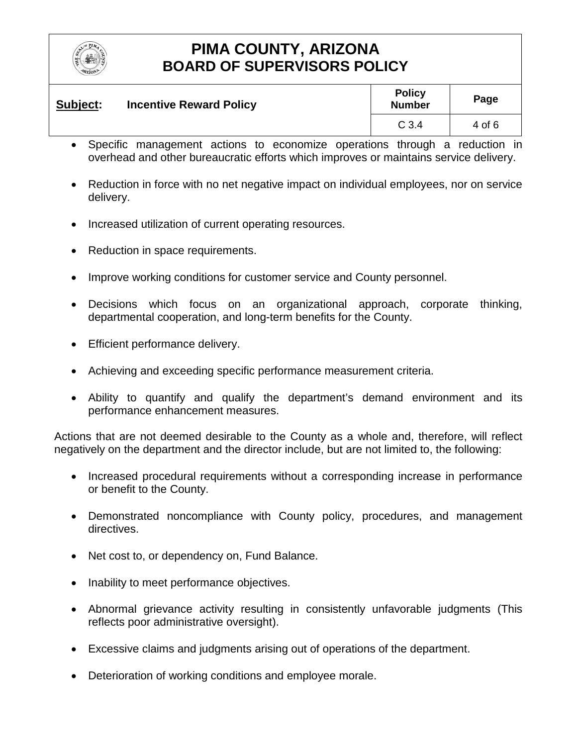

| Subject: | <b>Incentive Reward Policy</b> | <b>Policy</b><br><b>Number</b> | Page   |
|----------|--------------------------------|--------------------------------|--------|
|          |                                | C <sub>3.4</sub>               | 4 of 6 |

- Specific management actions to economize operations through a reduction in overhead and other bureaucratic efforts which improves or maintains service delivery.
- Reduction in force with no net negative impact on individual employees, nor on service delivery.
- Increased utilization of current operating resources.
- Reduction in space requirements.
- Improve working conditions for customer service and County personnel.
- Decisions which focus on an organizational approach, corporate thinking, departmental cooperation, and long-term benefits for the County.
- Efficient performance delivery.
- Achieving and exceeding specific performance measurement criteria.
- Ability to quantify and qualify the department's demand environment and its performance enhancement measures.

Actions that are not deemed desirable to the County as a whole and, therefore, will reflect negatively on the department and the director include, but are not limited to, the following:

- Increased procedural requirements without a corresponding increase in performance or benefit to the County.
- Demonstrated noncompliance with County policy, procedures, and management directives.
- Net cost to, or dependency on, Fund Balance.
- Inability to meet performance objectives.
- Abnormal grievance activity resulting in consistently unfavorable judgments (This reflects poor administrative oversight).
- Excessive claims and judgments arising out of operations of the department.
- Deterioration of working conditions and employee morale.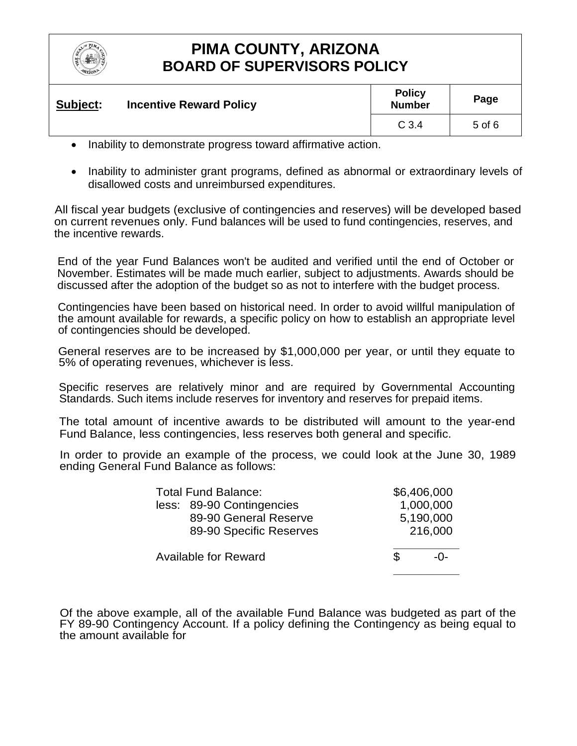

| Subject: | <b>Incentive Reward Policy</b> | <b>Policy</b><br><b>Number</b> | Page       |
|----------|--------------------------------|--------------------------------|------------|
|          |                                | C <sub>3.4</sub>               | $5$ of $6$ |

- Inability to demonstrate progress toward affirmative action.
- Inability to administer grant programs, defined as abnormal or extraordinary levels of disallowed costs and unreimbursed expenditures.

All fiscal year budgets (exclusive of contingencies and reserves) will be developed based on current revenues only. Fund balances will be used to fund contingencies, reserves, and the incentive rewards.

End of the year Fund Balances won't be audited and verified until the end of October or November. Estimates will be made much earlier, subject to adjustments. Awards should be discussed after the adoption of the budget so as not to interfere with the budget process.

Contingencies have been based on historical need. In order to avoid willful manipulation of the amount available for rewards, a specific policy on how to establish an appropriate level of contingencies should be developed.

General reserves are to be increased by \$1,000,000 per year, or until they equate to 5% of operating revenues, whichever is less.

Specific reserves are relatively minor and are required by Governmental Accounting Standards. Such items include reserves for inventory and reserves for prepaid items.

The total amount of incentive awards to be distributed will amount to the year-end Fund Balance, less contingencies, less reserves both general and specific.

In order to provide an example of the process, we could look at the June 30, 1989 ending General Fund Balance as follows:

| <b>Total Fund Balance:</b>  |                           |         | \$6,406,000 |  |
|-----------------------------|---------------------------|---------|-------------|--|
|                             | less: 89-90 Contingencies |         | 1,000,000   |  |
|                             | 89-90 General Reserve     |         | 5,190,000   |  |
|                             | 89-90 Specific Reserves   | 216,000 |             |  |
|                             |                           |         |             |  |
| <b>Available for Reward</b> |                           | £.      | -በ-         |  |
|                             |                           |         |             |  |

Of the above example, all of the available Fund Balance was budgeted as part of the FY 89-90 Contingency Account. If a policy defining the Contingency as being equal to the amount available for